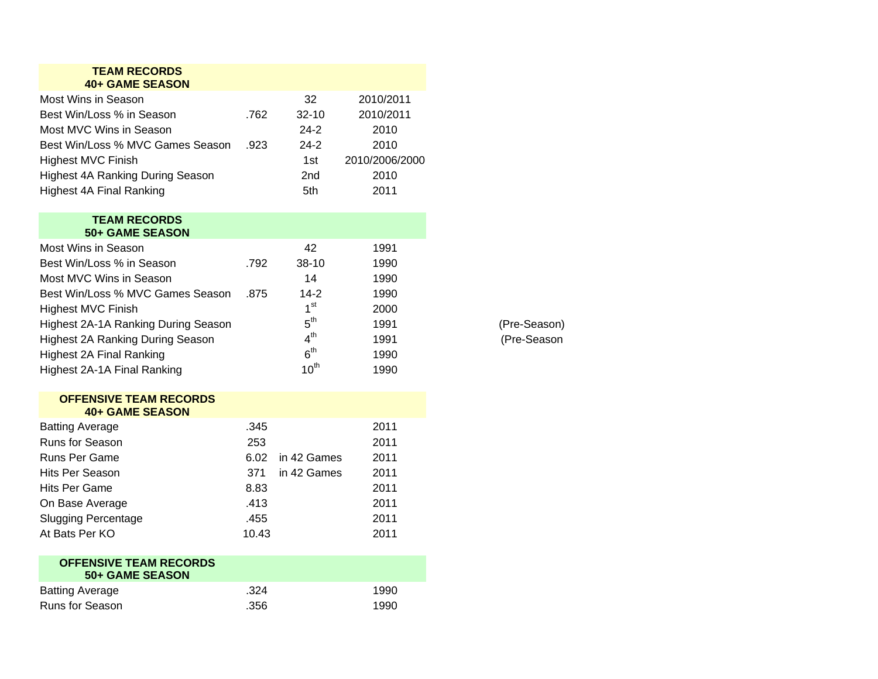| <b>TEAM RECORDS</b><br><b>40+ GAME SEASON</b> |       |                 |                |
|-----------------------------------------------|-------|-----------------|----------------|
| Most Wins in Season                           |       | 32              | 2010/2011      |
| Best Win/Loss % in Season                     | .762  | 32-10           | 2010/2011      |
| Most MVC Wins in Season                       |       | $24-2$          | 2010           |
| Best Win/Loss % MVC Games Season              | .923  | $24-2$          | 2010           |
| <b>Highest MVC Finish</b>                     |       | 1st             | 2010/2006/2000 |
| <b>Highest 4A Ranking During Season</b>       |       | 2nd             | 2010           |
| <b>Highest 4A Final Ranking</b>               |       | 5th             | 2011           |
| <b>TEAM RECORDS</b>                           |       |                 |                |
| <b>50+ GAME SEASON</b>                        |       |                 |                |
| Most Wins in Season                           |       | 42              | 1991           |
| Best Win/Loss % in Season                     | .792  | 38-10           | 1990           |
| Most MVC Wins in Season                       |       | 14              | 1990           |
| Best Win/Loss % MVC Games Season              | .875  | $14-2$          | 1990           |
| <b>Highest MVC Finish</b>                     |       | 1 <sup>st</sup> | 2000           |
| <b>Highest 2A-1A Ranking During Season</b>    |       | 5 <sup>th</sup> | 1991           |
| <b>Highest 2A Ranking During Season</b>       |       | 4 <sup>th</sup> | 1991           |
| <b>Highest 2A Final Ranking</b>               |       | 6 <sup>th</sup> | 1990           |
| Highest 2A-1A Final Ranking                   |       | $10^{th}$       | 1990           |
| <b>OFFENSIVE TEAM RECORDS</b>                 |       |                 |                |
| <b>40+ GAME SEASON</b>                        |       |                 |                |
| <b>Batting Average</b>                        | .345  |                 | 2011           |
| Runs for Season                               | 253   |                 | 2011           |
| Runs Per Game                                 | 6.02  | in 42 Games     | 2011           |
| <b>Hits Per Season</b>                        | 371   | in 42 Games     | 2011           |
| Hits Per Game                                 | 8.83  |                 | 2011           |
| On Base Average                               | .413  |                 | 2011           |
| <b>Slugging Percentage</b>                    | .455  |                 | 2011           |
| At Bats Per KO                                | 10.43 |                 | 2011           |
| <b>OFFENSIVE TEAM RECORDS</b>                 |       |                 |                |
| <b>50+ GAME SEASON</b>                        |       |                 |                |
| <b>Batting Average</b>                        | .324  |                 | 1990           |
| Runs for Season                               | .356  |                 | 1990           |

(Pre-Season) (Pre-Season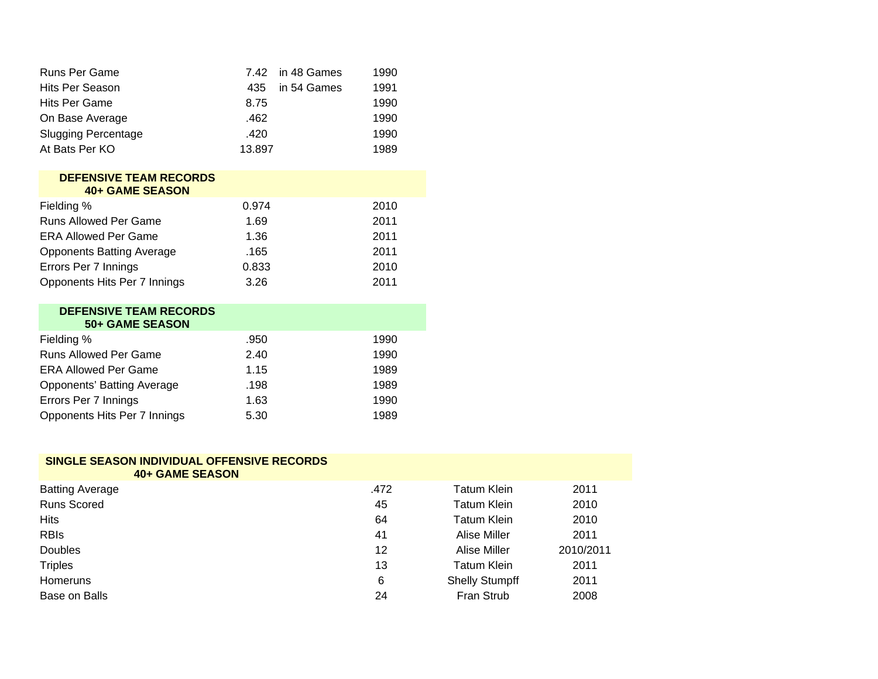| <b>Runs Per Game</b>       |        | 7.42 in 48 Games | 1990 |
|----------------------------|--------|------------------|------|
| Hits Per Season            | 435    | in 54 Games      | 1991 |
| Hits Per Game              | 8.75   |                  | 1990 |
| On Base Average            | .462   |                  | 1990 |
| <b>Slugging Percentage</b> | .420   |                  | 1990 |
| At Bats Per KO             | 13.897 |                  | 1989 |

| <b>DEFENSIVE TEAM RECORDS</b><br><b>40+ GAME SEASON</b> |       |      |
|---------------------------------------------------------|-------|------|
| Fielding %                                              | 0.974 | 2010 |
| <b>Runs Allowed Per Game</b>                            | 1.69  | 2011 |
| <b>ERA Allowed Per Game</b>                             | 1.36  | 2011 |
| <b>Opponents Batting Average</b>                        | .165  | 2011 |
| Errors Per 7 Innings                                    | 0.833 | 2010 |
| Opponents Hits Per 7 Innings                            | 3.26  | 2011 |

| <b>DEFENSIVE TEAM RECORDS</b><br>50+ GAME SEASON |      |      |
|--------------------------------------------------|------|------|
| Fielding %                                       | .950 | 1990 |
| <b>Runs Allowed Per Game</b>                     | 2.40 | 1990 |
| <b>ERA Allowed Per Game</b>                      | 1.15 | 1989 |
| Opponents' Batting Average                       | .198 | 1989 |
| Errors Per 7 Innings                             | 1.63 | 1990 |
| Opponents Hits Per 7 Innings                     | 5.30 | 1989 |

## **SINGLE SEASON INDIVIDUAL OFFENSIVE RECORDS 40+ GAME SEASON**

| <b>Batting Average</b> | .472 | Tatum Klein           | 2011      |
|------------------------|------|-----------------------|-----------|
| <b>Runs Scored</b>     | 45   | Tatum Klein           | 2010      |
| <b>Hits</b>            | 64   | Tatum Klein           | 2010      |
| <b>RBIS</b>            | 41   | Alise Miller          | 2011      |
| Doubles                | 12   | Alise Miller          | 2010/2011 |
| <b>Triples</b>         | 13   | <b>Tatum Klein</b>    | 2011      |
| Homeruns               | 6    | <b>Shelly Stumpff</b> | 2011      |
| Base on Balls          | 24   | Fran Strub            | 2008      |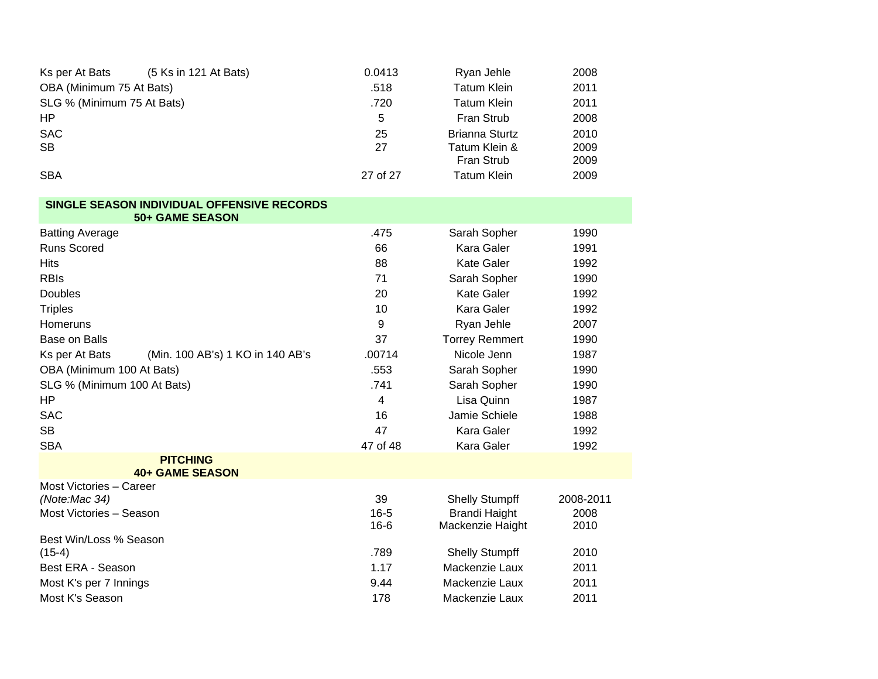| Ks per At Bats             | (5 Ks in 121 At Bats)      | 0.0413   | Ryan Jehle         | 2008 |
|----------------------------|----------------------------|----------|--------------------|------|
| OBA (Minimum 75 At Bats)   | <b>Tatum Klein</b><br>.518 |          |                    | 2011 |
| SLG % (Minimum 75 At Bats) |                            | .720     | <b>Tatum Klein</b> | 2011 |
| HP                         |                            | 5        | Fran Strub         | 2008 |
| <b>SAC</b>                 |                            | 25       | Brianna Sturtz     | 2010 |
| SB                         |                            | 27       | Tatum Klein &      | 2009 |
|                            |                            |          | <b>Fran Strub</b>  | 2009 |
| <b>SBA</b>                 |                            | 27 of 27 | <b>Tatum Klein</b> | 2009 |

## SINGLE SEASON INDIVIDUAL OFFENSIVE RECORDS<br>50+ GAME SEASON

| JUT UAIIIL JLAUUI                                  |          |                       |           |
|----------------------------------------------------|----------|-----------------------|-----------|
| <b>Batting Average</b>                             | .475     | Sarah Sopher          | 1990      |
| <b>Runs Scored</b>                                 | 66       | Kara Galer            | 1991      |
| <b>Hits</b>                                        | 88       | <b>Kate Galer</b>     | 1992      |
| <b>RBIS</b>                                        | 71       | Sarah Sopher          | 1990      |
| Doubles                                            | 20       | <b>Kate Galer</b>     | 1992      |
| <b>Triples</b>                                     | 10       | <b>Kara Galer</b>     | 1992      |
| Homeruns                                           | 9        | Ryan Jehle            | 2007      |
| <b>Base on Balls</b>                               | 37       | <b>Torrey Remmert</b> | 1990      |
| (Min. 100 AB's) 1 KO in 140 AB's<br>Ks per At Bats | .00714   | Nicole Jenn           | 1987      |
| OBA (Minimum 100 At Bats)                          | .553     | Sarah Sopher          | 1990      |
| SLG % (Minimum 100 At Bats)                        | .741     | Sarah Sopher          | 1990      |
| ΗP                                                 | 4        | Lisa Quinn            | 1987      |
| <b>SAC</b>                                         | 16       | Jamie Schiele         | 1988      |
| <b>SB</b>                                          | 47       | Kara Galer            | 1992      |
| <b>SBA</b>                                         | 47 of 48 | Kara Galer            | 1992      |
| <b>PITCHING</b><br><b>40+ GAME SEASON</b>          |          |                       |           |
| Most Victories - Career                            |          |                       |           |
| (Note:Mac 34)                                      | 39       | <b>Shelly Stumpff</b> | 2008-2011 |
| Most Victories - Season                            | $16 - 5$ | <b>Brandi Haight</b>  | 2008      |
|                                                    | $16 - 6$ | Mackenzie Haight      | 2010      |
| Best Win/Loss % Season<br>$(15-4)$                 | .789     | <b>Shelly Stumpff</b> | 2010      |
| Best ERA - Season                                  | 1.17     | Mackenzie Laux        | 2011      |
|                                                    | 9.44     | Mackenzie Laux        | 2011      |
| Most K's per 7 Innings<br>Most K's Season          |          |                       |           |
|                                                    | 178      | Mackenzie Laux        | 2011      |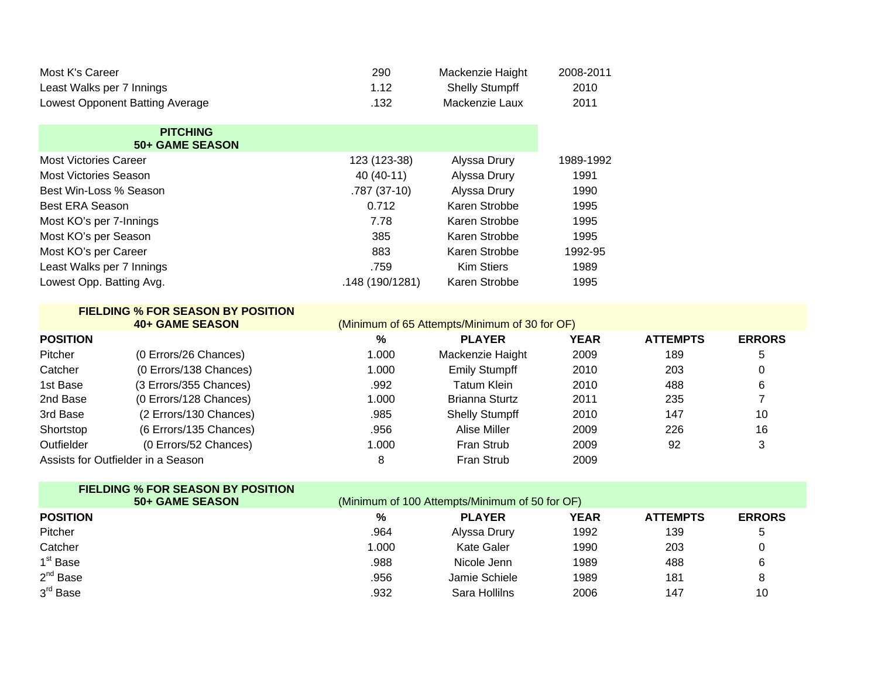| Most K's Career                 | 290  | Mackenzie Haight      | 2008-2011 |
|---------------------------------|------|-----------------------|-----------|
| Least Walks per 7 Innings       | 1.12 | <b>Shelly Stumpff</b> | 2010      |
| Lowest Opponent Batting Average | .132 | Mackenzie Laux        | 2011      |

## **PITCHING**

|  |  |  | 50+ GAME SEASON |  |  |  |
|--|--|--|-----------------|--|--|--|
|--|--|--|-----------------|--|--|--|

| <b>Most Victories Career</b> | 123 (123-38)    | Alyssa Drury      | 1989-1992 |
|------------------------------|-----------------|-------------------|-----------|
| <b>Most Victories Season</b> | 40 (40-11)      | Alyssa Drury      | 1991      |
| Best Win-Loss % Season       | $.787(37-10)$   | Alyssa Drury      | 1990      |
| Best ERA Season              | 0.712           | Karen Strobbe     | 1995      |
| Most KO's per 7-Innings      | 7.78            | Karen Strobbe     | 1995      |
| Most KO's per Season         | 385             | Karen Strobbe     | 1995      |
| Most KO's per Career         | 883             | Karen Strobbe     | 1992-95   |
| Least Walks per 7 Innings    | .759            | <b>Kim Stiers</b> | 1989      |
| Lowest Opp. Batting Avg.     | .148 (190/1281) | Karen Strobbe     | 1995      |

|            | <b>FIELDING % FOR SEASON BY POSITION</b><br><b>40+ GAME SEASON</b> |       | (Minimum of 65 Attempts/Minimum of 30 for OF) |             |                 |               |
|------------|--------------------------------------------------------------------|-------|-----------------------------------------------|-------------|-----------------|---------------|
| POSITION   |                                                                    | %     | <b>PLAYER</b>                                 | <b>YEAR</b> | <b>ATTEMPTS</b> | <b>ERRORS</b> |
| Pitcher    | (0 Errors/26 Chances)                                              | 1.000 | Mackenzie Haight                              | 2009        | 189             | 5             |
| Catcher    | (0 Errors/138 Chances)                                             | 1.000 | <b>Emily Stumpff</b>                          | 2010        | 203             | 0             |
| 1st Base   | (3 Errors/355 Chances)                                             | .992  | Tatum Klein                                   | 2010        | 488             | 6             |
| 2nd Base   | (0 Errors/128 Chances)                                             | 1.000 | <b>Brianna Sturtz</b>                         | 2011        | 235             |               |
| 3rd Base   | (2 Errors/130 Chances)                                             | .985  | <b>Shelly Stumpff</b>                         | 2010        | 147             | 10            |
| Shortstop  | (6 Errors/135 Chances)                                             | .956  | Alise Miller                                  | 2009        | 226             | 16            |
| Outfielder | (0 Errors/52 Chances)                                              | 1.000 | Fran Strub                                    | 2009        | 92              | 3             |
|            | Assists for Outfielder in a Season                                 | 8     | Fran Strub                                    | 2009        |                 |               |

| <b>FIELDING % FOR SEASON BY POSITION</b> |       |                                                |             |                 |               |
|------------------------------------------|-------|------------------------------------------------|-------------|-----------------|---------------|
| 50+ GAME SEASON                          |       | (Minimum of 100 Attempts/Minimum of 50 for OF) |             |                 |               |
| <b>POSITION</b>                          | %     | <b>PLAYER</b>                                  | <b>YEAR</b> | <b>ATTEMPTS</b> | <b>ERRORS</b> |
| <b>Pitcher</b>                           | .964  | Alyssa Drury                                   | 1992        | 139             |               |
| Catcher                                  | 1.000 | Kate Galer                                     | 1990        | 203             |               |
| 1 <sup>st</sup> Base                     | .988  | Nicole Jenn                                    | 1989        | 488             |               |
| $2^{nd}$ Base                            | .956  | Jamie Schiele                                  | 1989        | 181             |               |
| 3 <sup>rd</sup> Base                     | .932  | Sara Hollilns                                  | 2006        | 147             | 10            |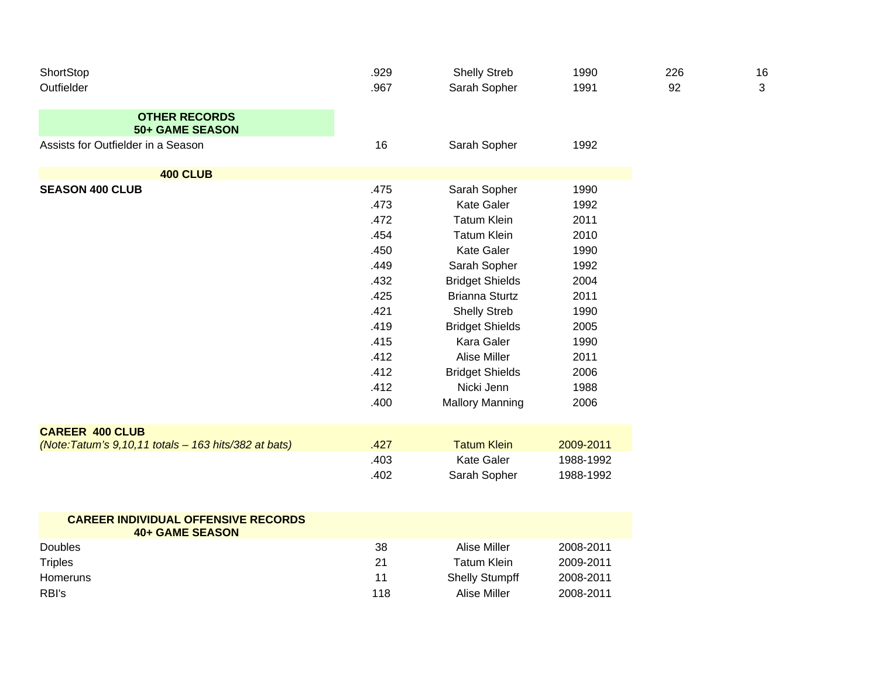| ShortStop<br>Outfielder                                                         | .929<br>.967                                                                                                 | <b>Shelly Streb</b><br>Sarah Sopher                                                                                                                                                                                                                                                          | 1990<br>1991                                                                                                 | 226<br>92 | 16<br>3 |
|---------------------------------------------------------------------------------|--------------------------------------------------------------------------------------------------------------|----------------------------------------------------------------------------------------------------------------------------------------------------------------------------------------------------------------------------------------------------------------------------------------------|--------------------------------------------------------------------------------------------------------------|-----------|---------|
| <b>OTHER RECORDS</b><br><b>50+ GAME SEASON</b>                                  |                                                                                                              |                                                                                                                                                                                                                                                                                              |                                                                                                              |           |         |
| Assists for Outfielder in a Season                                              | 16                                                                                                           | Sarah Sopher                                                                                                                                                                                                                                                                                 | 1992                                                                                                         |           |         |
| <b>400 CLUB</b>                                                                 |                                                                                                              |                                                                                                                                                                                                                                                                                              |                                                                                                              |           |         |
| <b>SEASON 400 CLUB</b>                                                          | .475<br>.473<br>.472<br>.454<br>.450<br>.449<br>.432<br>.425<br>.421<br>.419<br>.415<br>.412<br>.412<br>.412 | Sarah Sopher<br><b>Kate Galer</b><br><b>Tatum Klein</b><br><b>Tatum Klein</b><br>Kate Galer<br>Sarah Sopher<br><b>Bridget Shields</b><br><b>Brianna Sturtz</b><br><b>Shelly Streb</b><br><b>Bridget Shields</b><br>Kara Galer<br><b>Alise Miller</b><br><b>Bridget Shields</b><br>Nicki Jenn | 1990<br>1992<br>2011<br>2010<br>1990<br>1992<br>2004<br>2011<br>1990<br>2005<br>1990<br>2011<br>2006<br>1988 |           |         |
|                                                                                 | .400                                                                                                         | <b>Mallory Manning</b>                                                                                                                                                                                                                                                                       | 2006                                                                                                         |           |         |
| <b>CAREER 400 CLUB</b><br>(Note: Tatum's 9,10,11 totals - 163 hits/382 at bats) | .427<br>.403<br>.402                                                                                         | <b>Tatum Klein</b><br><b>Kate Galer</b><br>Sarah Sopher                                                                                                                                                                                                                                      | 2009-2011<br>1988-1992<br>1988-1992                                                                          |           |         |
|                                                                                 |                                                                                                              |                                                                                                                                                                                                                                                                                              |                                                                                                              |           |         |

| <b>CAREER INDIVIDUAL OFFENSIVE RECORDS</b><br>40+ GAME SEASON |     |                       |           |
|---------------------------------------------------------------|-----|-----------------------|-----------|
| <b>Doubles</b>                                                | 38  | Alise Miller          | 2008-2011 |
| Triples                                                       | 21  | Tatum Klein           | 2009-2011 |
| <b>Homeruns</b>                                               | 11  | <b>Shelly Stumpff</b> | 2008-2011 |
| RBI's                                                         | 118 | Alise Miller          | 2008-2011 |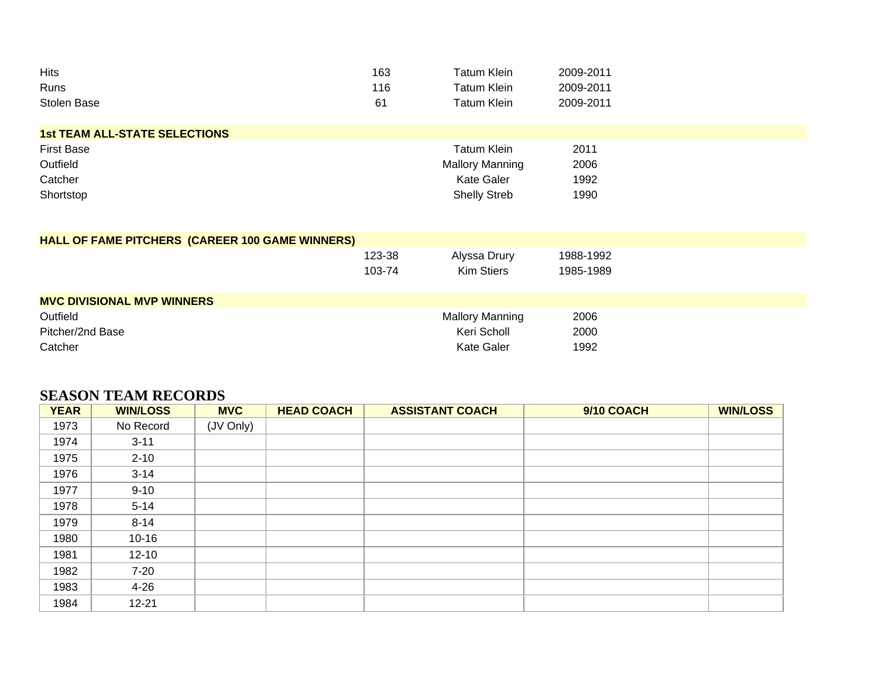| <b>Hits</b>                                     | 163    | <b>Tatum Klein</b>     | 2009-2011 |  |  |
|-------------------------------------------------|--------|------------------------|-----------|--|--|
| Runs                                            | 116    | <b>Tatum Klein</b>     | 2009-2011 |  |  |
| Stolen Base                                     | 61     | <b>Tatum Klein</b>     | 2009-2011 |  |  |
| <b>1st TEAM ALL-STATE SELECTIONS</b>            |        |                        |           |  |  |
| <b>First Base</b>                               |        | <b>Tatum Klein</b>     | 2011      |  |  |
| Outfield                                        |        | <b>Mallory Manning</b> | 2006      |  |  |
| Catcher                                         |        | <b>Kate Galer</b>      | 1992      |  |  |
| Shortstop                                       |        | <b>Shelly Streb</b>    | 1990      |  |  |
| HALL OF FAME PITCHERS (CAREER 100 GAME WINNERS) |        |                        |           |  |  |
|                                                 | 123-38 | Alyssa Drury           | 1988-1992 |  |  |
|                                                 | 103-74 | <b>Kim Stiers</b>      | 1985-1989 |  |  |
| <b>MVC DIVISIONAL MVP WINNERS</b>               |        |                        |           |  |  |
| Outfield                                        |        | <b>Mallory Manning</b> | 2006      |  |  |
| Pitcher/2nd Base                                |        | Keri Scholl            | 2000      |  |  |
| Catcher                                         |        | <b>Kate Galer</b>      | 1992      |  |  |

## **SEASON TEAM RECORDS**

| <b>YEAR</b> | <b>WIN/LOSS</b> | <b>MVC</b> | <b>HEAD COACH</b> | <b>ASSISTANT COACH</b> | 9/10 COACH | <b>WIN/LOSS</b> |
|-------------|-----------------|------------|-------------------|------------------------|------------|-----------------|
| 1973        | No Record       | (JV Only)  |                   |                        |            |                 |
| 1974        | $3 - 11$        |            |                   |                        |            |                 |
| 1975        | $2 - 10$        |            |                   |                        |            |                 |
| 1976        | $3 - 14$        |            |                   |                        |            |                 |
| 1977        | $9 - 10$        |            |                   |                        |            |                 |
| 1978        | $5 - 14$        |            |                   |                        |            |                 |
| 1979        | $8 - 14$        |            |                   |                        |            |                 |
| 1980        | $10 - 16$       |            |                   |                        |            |                 |
| 1981        | $12 - 10$       |            |                   |                        |            |                 |
| 1982        | $7-20$          |            |                   |                        |            |                 |
| 1983        | $4 - 26$        |            |                   |                        |            |                 |
| 1984        | $12 - 21$       |            |                   |                        |            |                 |